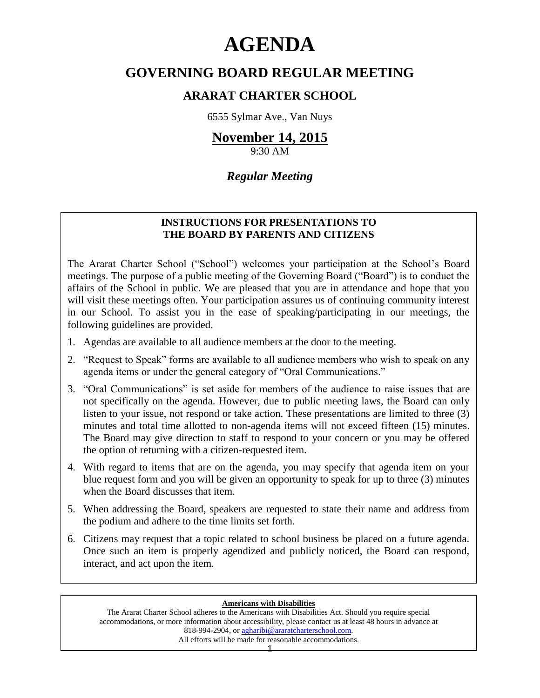# **AGENDA**

# **GOVERNING BOARD REGULAR MEETING**

# **ARARAT CHARTER SCHOOL**

6555 Sylmar Ave., Van Nuys

# **November 14, 2015**

9:30 AM

# *Regular Meeting*

## **INSTRUCTIONS FOR PRESENTATIONS TO THE BOARD BY PARENTS AND CITIZENS**

The Ararat Charter School ("School") welcomes your participation at the School's Board meetings. The purpose of a public meeting of the Governing Board ("Board") is to conduct the affairs of the School in public. We are pleased that you are in attendance and hope that you will visit these meetings often. Your participation assures us of continuing community interest in our School. To assist you in the ease of speaking/participating in our meetings, the following guidelines are provided.

- 1. Agendas are available to all audience members at the door to the meeting.
- 2. "Request to Speak" forms are available to all audience members who wish to speak on any agenda items or under the general category of "Oral Communications."
- 3. "Oral Communications" is set aside for members of the audience to raise issues that are not specifically on the agenda. However, due to public meeting laws, the Board can only listen to your issue, not respond or take action. These presentations are limited to three (3) minutes and total time allotted to non-agenda items will not exceed fifteen (15) minutes. The Board may give direction to staff to respond to your concern or you may be offered the option of returning with a citizen-requested item.
- 4. With regard to items that are on the agenda, you may specify that agenda item on your blue request form and you will be given an opportunity to speak for up to three (3) minutes when the Board discusses that item.
- 5. When addressing the Board, speakers are requested to state their name and address from the podium and adhere to the time limits set forth.
- 6. Citizens may request that a topic related to school business be placed on a future agenda. Once such an item is properly agendized and publicly noticed, the Board can respond, interact, and act upon the item.

#### **Americans with Disabilities**

The Ararat Charter School adheres to the Americans with Disabilities Act. Should you require special accommodations, or more information about accessibility, please contact us at least 48 hours in advance at 818-994-2904, or [agharibi@araratcharterschool.com.](mailto:agharibi@araratcharterschool.com)  All efforts will be made for reasonable accommodations.

1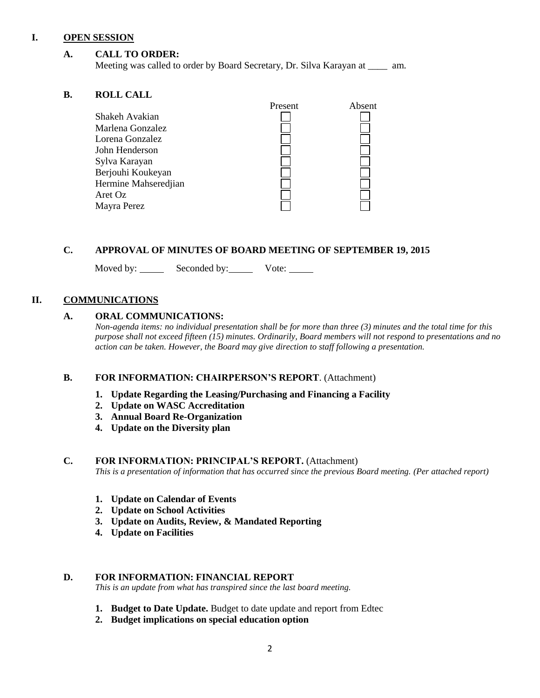#### **I. OPEN SESSION**

#### **A. CALL TO ORDER:**

Meeting was called to order by Board Secretary, Dr. Silva Karayan at \_\_\_\_ am.

#### **B. ROLL CALL**

| муда спан            |         |        |
|----------------------|---------|--------|
|                      | Present | Absent |
| Shakeh Avakian       |         |        |
| Marlena Gonzalez     |         |        |
| Lorena Gonzalez      |         |        |
| John Henderson       |         |        |
| Sylva Karayan        |         |        |
| Berjouhi Koukeyan    |         |        |
| Hermine Mahseredjian |         |        |
| Aret Oz              |         |        |
| Mayra Perez          |         |        |
|                      |         |        |

#### **C. APPROVAL OF MINUTES OF BOARD MEETING OF SEPTEMBER 19, 2015**

Moved by: Seconded by: Vote:

#### **II. COMMUNICATIONS**

#### **A. ORAL COMMUNICATIONS:**

*Non-agenda items: no individual presentation shall be for more than three (3) minutes and the total time for this purpose shall not exceed fifteen (15) minutes. Ordinarily, Board members will not respond to presentations and no action can be taken. However, the Board may give direction to staff following a presentation.*

#### **B. FOR INFORMATION: CHAIRPERSON'S REPORT**. (Attachment)

- **1. Update Regarding the Leasing/Purchasing and Financing a Facility**
- **2. Update on WASC Accreditation**
- **3. Annual Board Re-Organization**
- **4. Update on the Diversity plan**

#### **C. FOR INFORMATION: PRINCIPAL'S REPORT.** (Attachment)

*This is a presentation of information that has occurred since the previous Board meeting. (Per attached report)*

- **1. Update on Calendar of Events**
- **2. Update on School Activities**
- **3. Update on Audits, Review, & Mandated Reporting**
- **4. Update on Facilities**

#### **D. FOR INFORMATION: FINANCIAL REPORT**

*This is an update from what has transpired since the last board meeting.*

- **1. Budget to Date Update.** Budget to date update and report from Edtec
- **2. Budget implications on special education option**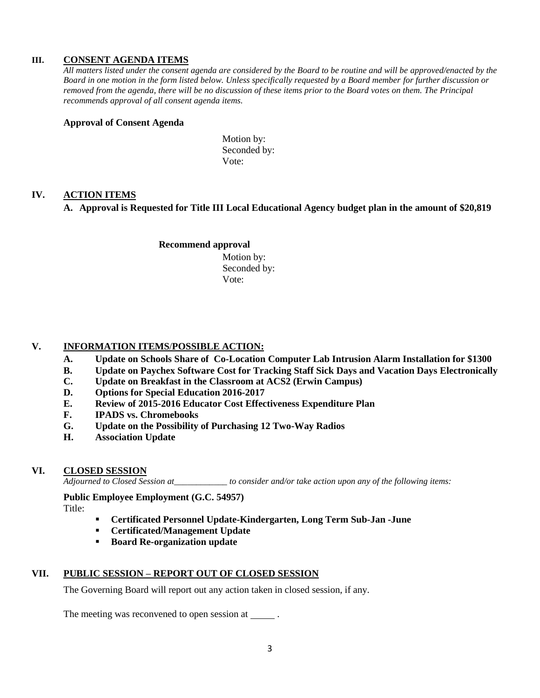#### **III. CONSENT AGENDA ITEMS**

*All matters listed under the consent agenda are considered by the Board to be routine and will be approved/enacted by the Board in one motion in the form listed below. Unless specifically requested by a Board member for further discussion or removed from the agenda, there will be no discussion of these items prior to the Board votes on them. The Principal recommends approval of all consent agenda items.*

#### **Approval of Consent Agenda**

Motion by: Seconded by: Vote:

#### **IV. ACTION ITEMS**

#### **A. Approval is Requested for Title III Local Educational Agency budget plan in the amount of \$20,819**

## **Recommend approval**

 Motion by: Seconded by: Vote:

### **V. INFORMATION ITEMS**/**POSSIBLE ACTION:**

- **A. Update on Schools Share of Co-Location Computer Lab Intrusion Alarm Installation for \$1300**
- **B. Update on Paychex Software Cost for Tracking Staff Sick Days and Vacation Days Electronically**
- **C. Update on Breakfast in the Classroom at ACS2 (Erwin Campus)**
- **D. Options for Special Education 2016-2017**
- **E. Review of 2015-2016 Educator Cost Effectiveness Expenditure Plan**
- **F. IPADS vs. Chromebooks**
- **G. Update on the Possibility of Purchasing 12 Two-Way Radios**
- **H. Association Update**

#### **VI. CLOSED SESSION**

*Adjourned to Closed Session at\_\_\_\_\_\_\_\_\_\_\_\_ to consider and/or take action upon any of the following items:*

**Public Employee Employment (G.C. 54957)**

Title:

- **Certificated Personnel Update-Kindergarten, Long Term Sub-Jan -June**
- **Certificated/Management Update**
- **Board Re-organization update**

## **VII. PUBLIC SESSION – REPORT OUT OF CLOSED SESSION**

The Governing Board will report out any action taken in closed session, if any.

The meeting was reconvened to open session at \_\_\_\_\_\_.